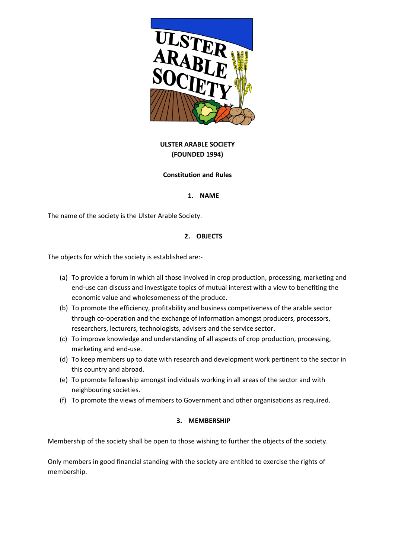

# **ULSTER ARABLE SOCIETY (FOUNDED 1994)**

#### **Constitution and Rules**

#### **1. NAME**

The name of the society is the Ulster Arable Society.

# **2. OBJECTS**

The objects for which the society is established are:-

- (a) To provide a forum in which all those involved in crop production, processing, marketing and end-use can discuss and investigate topics of mutual interest with a view to benefiting the economic value and wholesomeness of the produce.
- (b) To promote the efficiency, profitability and business competiveness of the arable sector through co-operation and the exchange of information amongst producers, processors, researchers, lecturers, technologists, advisers and the service sector.
- (c) To improve knowledge and understanding of all aspects of crop production, processing, marketing and end-use.
- (d) To keep members up to date with research and development work pertinent to the sector in this country and abroad.
- (e) To promote fellowship amongst individuals working in all areas of the sector and with neighbouring societies.
- (f) To promote the views of members to Government and other organisations as required.

#### **3. MEMBERSHIP**

Membership of the society shall be open to those wishing to further the objects of the society.

Only members in good financial standing with the society are entitled to exercise the rights of membership.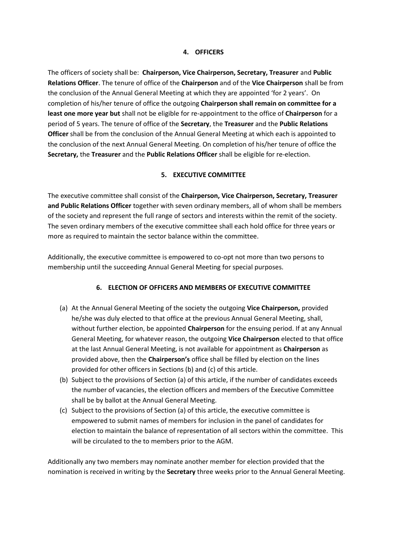#### **4. OFFICERS**

The officers of society shall be: **Chairperson, Vice Chairperson, Secretary, Treasurer** and **Public Relations Officer**. The tenure of office of the **Chairperson** and of the **Vice Chairperson** shall be from the conclusion of the Annual General Meeting at which they are appointed 'for 2 years'. On completion of his/her tenure of office the outgoing **Chairperson shall remain on committee for a least one more year but** shall not be eligible for re-appointment to the office of **Chairperson** for a period of 5 years. The tenure of office of the **Secretary**, the **Treasurer** and the **Public Relations Officer** shall be from the conclusion of the Annual General Meeting at which each is appointed to the conclusion of the next Annual General Meeting. On completion of his/her tenure of office the **Secretary,** the **Treasurer** and the **Public Relations Officer** shall be eligible for re-election.

# **5. EXECUTIVE COMMITTEE**

The executive committee shall consist of the **Chairperson, Vice Chairperson, Secretary, Treasurer and Public Relations Officer** together with seven ordinary members, all of whom shall be members of the society and represent the full range of sectors and interests within the remit of the society. The seven ordinary members of the executive committee shall each hold office for three years or more as required to maintain the sector balance within the committee.

Additionally, the executive committee is empowered to co-opt not more than two persons to membership until the succeeding Annual General Meeting for special purposes.

# **6. ELECTION OF OFFICERS AND MEMBERS OF EXECUTIVE COMMITTEE**

- (a) At the Annual General Meeting of the society the outgoing **Vice Chairperson,** provided he/she was duly elected to that office at the previous Annual General Meeting, shall, without further election, be appointed **Chairperson** for the ensuing period. If at any Annual General Meeting, for whatever reason, the outgoing **Vice Chairperson** elected to that office at the last Annual General Meeting, is not available for appointment as **Chairperson** as provided above, then the **Chairperson's** office shall be filled by election on the lines provided for other officers in Sections (b) and (c) of this article.
- (b) Subject to the provisions of Section (a) of this article, if the number of candidates exceeds the number of vacancies, the election officers and members of the Executive Committee shall be by ballot at the Annual General Meeting.
- (c) Subject to the provisions of Section (a) of this article, the executive committee is empowered to submit names of members for inclusion in the panel of candidates for election to maintain the balance of representation of all sectors within the committee. This will be circulated to the to members prior to the AGM.

Additionally any two members may nominate another member for election provided that the nomination is received in writing by the **Secretary** three weeks prior to the Annual General Meeting.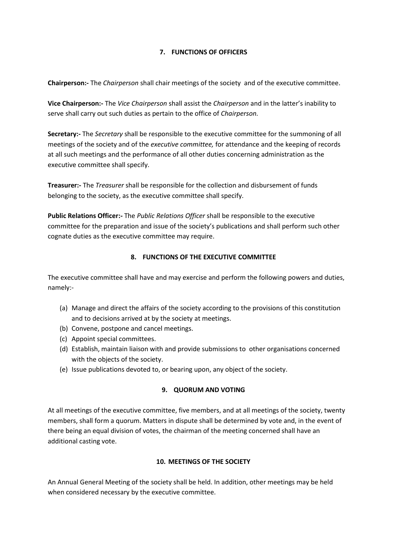# **7. FUNCTIONS OF OFFICERS**

**Chairperson:-** The *Chairperson* shall chair meetings of the society and of the executive committee.

**Vice Chairperson:-** The *Vice Chairperson* shall assist the *Chairperson* and in the latter's inability to serve shall carry out such duties as pertain to the office of *Chairperson.*

**Secretary:-** The *Secretary* shall be responsible to the executive committee for the summoning of all meetings of the society and of the *executive committee,* for attendance and the keeping of records at all such meetings and the performance of all other duties concerning administration as the executive committee shall specify.

**Treasurer:-** The *Treasurer* shall be responsible for the collection and disbursement of funds belonging to the society, as the executive committee shall specify.

**Public Relations Officer:-** The *Public Relations Officer* shall be responsible to the executive committee for the preparation and issue of the society's publications and shall perform such other cognate duties as the executive committee may require.

# **8. FUNCTIONS OF THE EXECUTIVE COMMITTEE**

The executive committee shall have and may exercise and perform the following powers and duties, namely:-

- (a) Manage and direct the affairs of the society according to the provisions of this constitution and to decisions arrived at by the society at meetings.
- (b) Convene, postpone and cancel meetings.
- (c) Appoint special committees.
- (d) Establish, maintain liaison with and provide submissions to other organisations concerned with the objects of the society.
- (e) Issue publications devoted to, or bearing upon, any object of the society.

# **9. QUORUM AND VOTING**

At all meetings of the executive committee, five members, and at all meetings of the society, twenty members, shall form a quorum. Matters in dispute shall be determined by vote and, in the event of there being an equal division of votes, the chairman of the meeting concerned shall have an additional casting vote.

# **10. MEETINGS OF THE SOCIETY**

An Annual General Meeting of the society shall be held. In addition, other meetings may be held when considered necessary by the executive committee.